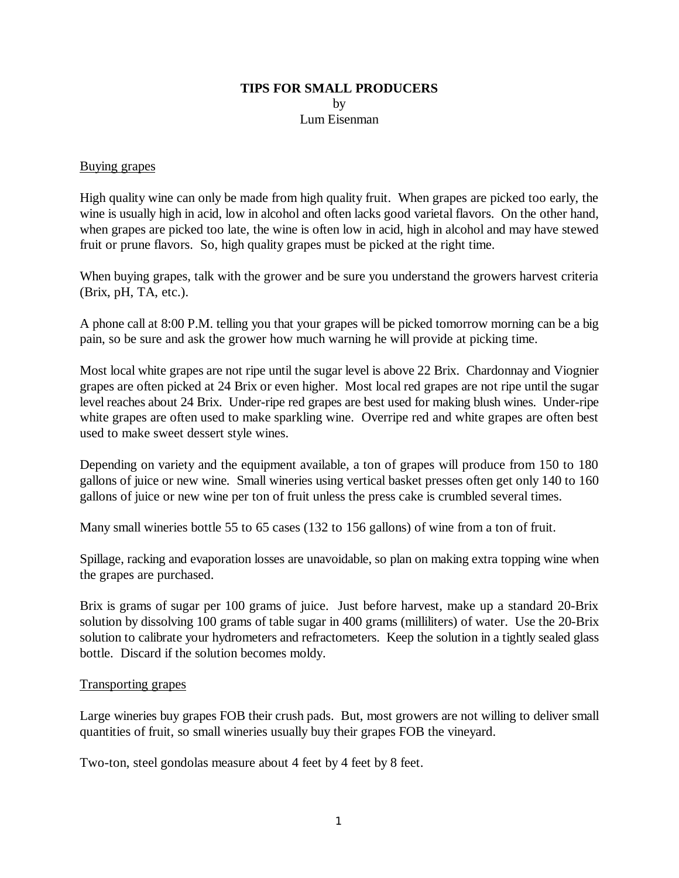# **TIPS FOR SMALL PRODUCERS** by Lum Eisenman

#### Buying grapes

High quality wine can only be made from high quality fruit. When grapes are picked too early, the wine is usually high in acid, low in alcohol and often lacks good varietal flavors. On the other hand, when grapes are picked too late, the wine is often low in acid, high in alcohol and may have stewed fruit or prune flavors. So, high quality grapes must be picked at the right time.

When buying grapes, talk with the grower and be sure you understand the growers harvest criteria (Brix, pH, TA, etc.).

A phone call at 8:00 P.M. telling you that your grapes will be picked tomorrow morning can be a big pain, so be sure and ask the grower how much warning he will provide at picking time.

Most local white grapes are not ripe until the sugar level is above 22 Brix. Chardonnay and Viognier grapes are often picked at 24 Brix or even higher. Most local red grapes are not ripe until the sugar level reaches about 24 Brix. Under-ripe red grapes are best used for making blush wines. Under-ripe white grapes are often used to make sparkling wine. Overripe red and white grapes are often best used to make sweet dessert style wines.

Depending on variety and the equipment available, a ton of grapes will produce from 150 to 180 gallons of juice or new wine. Small wineries using vertical basket presses often get only 140 to 160 gallons of juice or new wine per ton of fruit unless the press cake is crumbled several times.

Many small wineries bottle 55 to 65 cases (132 to 156 gallons) of wine from a ton of fruit.

Spillage, racking and evaporation losses are unavoidable, so plan on making extra topping wine when the grapes are purchased.

Brix is grams of sugar per 100 grams of juice. Just before harvest, make up a standard 20-Brix solution by dissolving 100 grams of table sugar in 400 grams (milliliters) of water. Use the 20-Brix solution to calibrate your hydrometers and refractometers. Keep the solution in a tightly sealed glass bottle. Discard if the solution becomes moldy.

#### Transporting grapes

Large wineries buy grapes FOB their crush pads. But, most growers are not willing to deliver small quantities of fruit, so small wineries usually buy their grapes FOB the vineyard.

Two-ton, steel gondolas measure about 4 feet by 4 feet by 8 feet.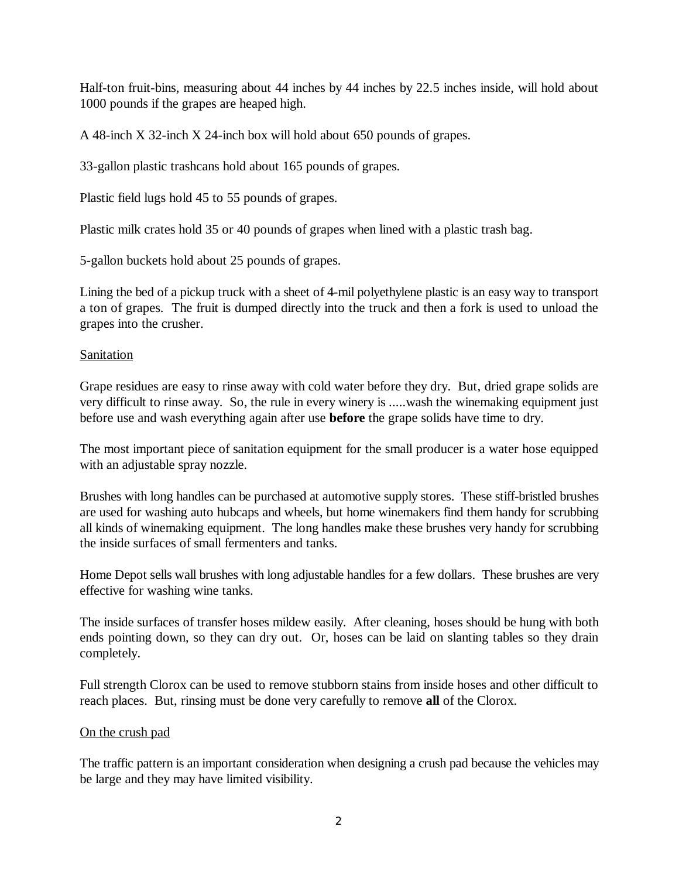Half-ton fruit-bins, measuring about 44 inches by 44 inches by 22.5 inches inside, will hold about 1000 pounds if the grapes are heaped high.

A 48-inch X 32-inch X 24-inch box will hold about 650 pounds of grapes.

33-gallon plastic trashcans hold about 165 pounds of grapes.

Plastic field lugs hold 45 to 55 pounds of grapes.

Plastic milk crates hold 35 or 40 pounds of grapes when lined with a plastic trash bag.

5-gallon buckets hold about 25 pounds of grapes.

Lining the bed of a pickup truck with a sheet of 4-mil polyethylene plastic is an easy way to transport a ton of grapes. The fruit is dumped directly into the truck and then a fork is used to unload the grapes into the crusher.

# Sanitation

Grape residues are easy to rinse away with cold water before they dry. But, dried grape solids are very difficult to rinse away. So, the rule in every winery is .....wash the winemaking equipment just before use and wash everything again after use **before** the grape solids have time to dry.

The most important piece of sanitation equipment for the small producer is a water hose equipped with an adjustable spray nozzle.

Brushes with long handles can be purchased at automotive supply stores. These stiff-bristled brushes are used for washing auto hubcaps and wheels, but home winemakers find them handy for scrubbing all kinds of winemaking equipment. The long handles make these brushes very handy for scrubbing the inside surfaces of small fermenters and tanks.

Home Depot sells wall brushes with long adjustable handles for a few dollars. These brushes are very effective for washing wine tanks.

The inside surfaces of transfer hoses mildew easily. After cleaning, hoses should be hung with both ends pointing down, so they can dry out. Or, hoses can be laid on slanting tables so they drain completely.

Full strength Clorox can be used to remove stubborn stains from inside hoses and other difficult to reach places. But, rinsing must be done very carefully to remove **all** of the Clorox.

## On the crush pad

The traffic pattern is an important consideration when designing a crush pad because the vehicles may be large and they may have limited visibility.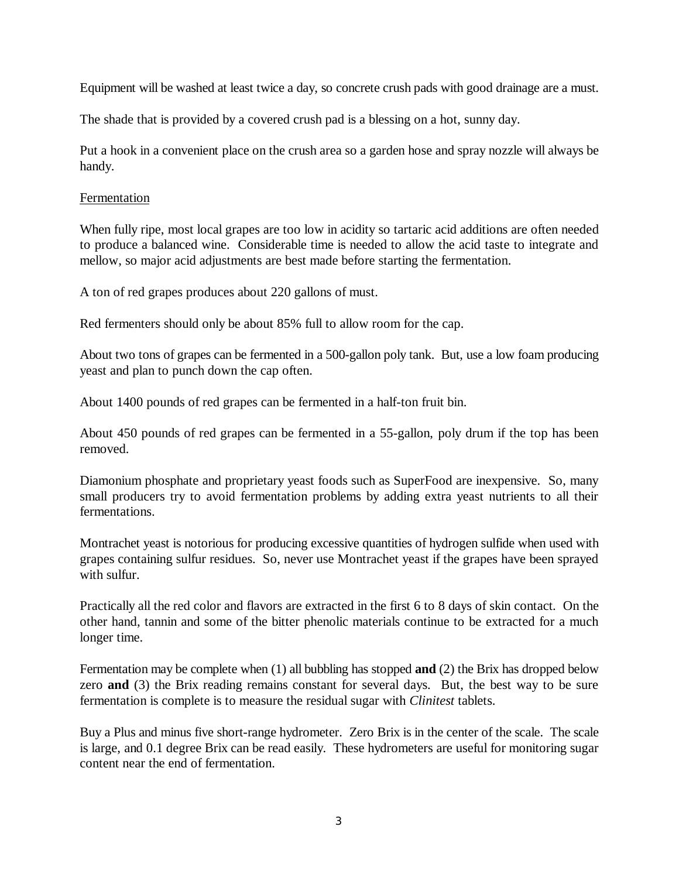Equipment will be washed at least twice a day, so concrete crush pads with good drainage are a must.

The shade that is provided by a covered crush pad is a blessing on a hot, sunny day.

Put a hook in a convenient place on the crush area so a garden hose and spray nozzle will always be handy.

## Fermentation

When fully ripe, most local grapes are too low in acidity so tartaric acid additions are often needed to produce a balanced wine. Considerable time is needed to allow the acid taste to integrate and mellow, so major acid adjustments are best made before starting the fermentation.

A ton of red grapes produces about 220 gallons of must.

Red fermenters should only be about 85% full to allow room for the cap.

About two tons of grapes can be fermented in a 500-gallon poly tank. But, use a low foam producing yeast and plan to punch down the cap often.

About 1400 pounds of red grapes can be fermented in a half-ton fruit bin.

About 450 pounds of red grapes can be fermented in a 55-gallon, poly drum if the top has been removed.

Diamonium phosphate and proprietary yeast foods such as SuperFood are inexpensive. So, many small producers try to avoid fermentation problems by adding extra yeast nutrients to all their fermentations.

Montrachet yeast is notorious for producing excessive quantities of hydrogen sulfide when used with grapes containing sulfur residues. So, never use Montrachet yeast if the grapes have been sprayed with sulfur.

Practically all the red color and flavors are extracted in the first 6 to 8 days of skin contact. On the other hand, tannin and some of the bitter phenolic materials continue to be extracted for a much longer time.

Fermentation may be complete when (1) all bubbling has stopped **and** (2) the Brix has dropped below zero **and** (3) the Brix reading remains constant for several days. But, the best way to be sure fermentation is complete is to measure the residual sugar with *Clinitest* tablets.

Buy a Plus and minus five short-range hydrometer. Zero Brix is in the center of the scale. The scale is large, and 0.1 degree Brix can be read easily. These hydrometers are useful for monitoring sugar content near the end of fermentation.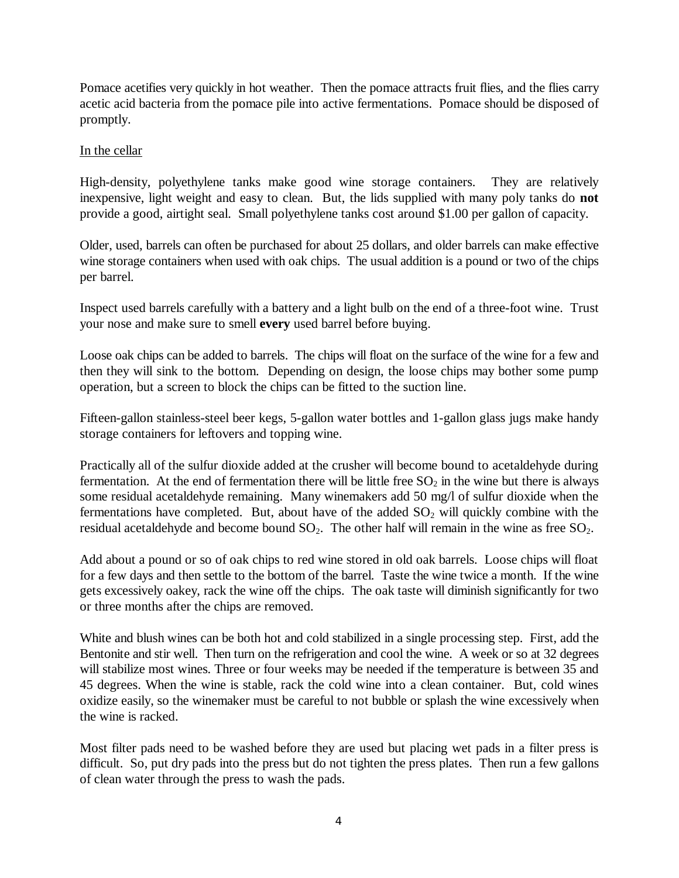Pomace acetifies very quickly in hot weather. Then the pomace attracts fruit flies, and the flies carry acetic acid bacteria from the pomace pile into active fermentations. Pomace should be disposed of promptly.

# In the cellar

High-density, polyethylene tanks make good wine storage containers. They are relatively inexpensive, light weight and easy to clean. But, the lids supplied with many poly tanks do **not** provide a good, airtight seal. Small polyethylene tanks cost around \$1.00 per gallon of capacity.

Older, used, barrels can often be purchased for about 25 dollars, and older barrels can make effective wine storage containers when used with oak chips. The usual addition is a pound or two of the chips per barrel.

Inspect used barrels carefully with a battery and a light bulb on the end of a three-foot wine. Trust your nose and make sure to smell **every** used barrel before buying.

Loose oak chips can be added to barrels. The chips will float on the surface of the wine for a few and then they will sink to the bottom. Depending on design, the loose chips may bother some pump operation, but a screen to block the chips can be fitted to the suction line.

Fifteen-gallon stainless-steel beer kegs, 5-gallon water bottles and 1-gallon glass jugs make handy storage containers for leftovers and topping wine.

Practically all of the sulfur dioxide added at the crusher will become bound to acetaldehyde during fermentation. At the end of fermentation there will be little free  $SO_2$  in the wine but there is always some residual acetaldehyde remaining. Many winemakers add 50 mg/l of sulfur dioxide when the fermentations have completed. But, about have of the added  $SO_2$  will quickly combine with the residual acetaldehyde and become bound  $SO_2$ . The other half will remain in the wine as free  $SO_2$ .

Add about a pound or so of oak chips to red wine stored in old oak barrels. Loose chips will float for a few days and then settle to the bottom of the barrel. Taste the wine twice a month. If the wine gets excessively oakey, rack the wine off the chips. The oak taste will diminish significantly for two or three months after the chips are removed.

White and blush wines can be both hot and cold stabilized in a single processing step. First, add the Bentonite and stir well. Then turn on the refrigeration and cool the wine. A week or so at 32 degrees will stabilize most wines. Three or four weeks may be needed if the temperature is between 35 and 45 degrees. When the wine is stable, rack the cold wine into a clean container. But, cold wines oxidize easily, so the winemaker must be careful to not bubble or splash the wine excessively when the wine is racked.

Most filter pads need to be washed before they are used but placing wet pads in a filter press is difficult. So, put dry pads into the press but do not tighten the press plates. Then run a few gallons of clean water through the press to wash the pads.